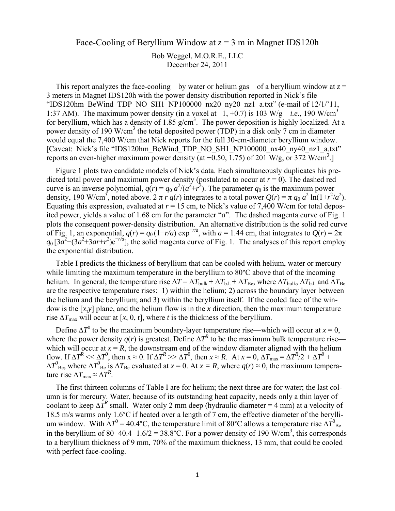## Face-Cooling of Beryllium Window at *z* = 3 m in Magnet IDS120h

Bob Weggel, M.O.R.E., LLC December 24, 2011

This report analyzes the face-cooling—by water or helium gas—of a beryllium window at  $z =$ 3 meters in Magnet IDS120h with the power density distribution reported in Nick's file "IDS120hm\_BeWind\_TDP\_NO\_SH1\_NP100000\_nx20\_ny20\_nz1\_a.txt" (e-mail of  $12/1/11$ , 1:37 AM). The maximum power density (in a voxel at  $-1$ ,  $+0.7$ ) is 103 W/g—*i.e.*, 190 W/cm<sup>3</sup> for beryllium, which has a density of  $1.85$  g/cm<sup>3</sup>. The power deposition is highly localized. At a power density of 190 W/cm<sup>3</sup> the total deposited power (TDP) in a disk only  $\frac{1}{7}$  cm in diameter would equal the 7,400 W/cm that Nick reports for the full 30-cm-diameter beryllium window. [Caveat: Nick's file "IDS120hm\_BeWind\_TDP\_NO\_SH1\_NP100000\_nx40\_ny40\_nz1\_a.txt" reports an even-higher maximum power density (at  $\overline{-0.50}$ , 1.75) of 201 W/g, or 372 W/cm<sup>3</sup>.

Figure 1 plots two candidate models of Nick's data. Each simultaneously duplicates his predicted total power and maximum power density (postulated to occur at  $r = 0$ ). The dashed red curve is an inverse polynomial,  $q(r) = q_0 a^2/(a^2 + r^2)$ . The parameter  $q_0$  is the maximum power density, 190 W/cm<sup>3</sup>, noted above. 2  $\pi r q(r)$  integrates to a total power  $Q(r) = \pi q_0 a^2 \ln(1 + r^2/a^2)$ . Equating this expression, evaluated at  $r = 15$  cm, to Nick's value of 7,400 W/cm for total deposited power, yields a value of 1.68 cm for the parameter "*a*". The dashed magenta curve of Fig. 1 plots the consequent power-density distribution. An alternative distribution is the solid red curve of Fig. 1, an exponential,  $q(r) = q_0 (1 - r/a) \exp^{-r/a}$ , with  $a = 1.44$  cm, that integrates to  $Q(r) = 2\pi$  $q_0$  [3*a*<sup>2</sup> – (3*a*<sup>2</sup>+3*ar*+*r*<sup>2</sup>)e<sup>-*r/a*</sup>], the solid magenta curve of Fig. 1. The analyses of this report employ the exponential distribution.

Table I predicts the thickness of beryllium that can be cooled with helium, water or mercury while limiting the maximum temperature in the beryllium to 80°C above that of the incoming helium. In general, the temperature rise  $\Delta T = \Delta T_{\text{bulk}} + \Delta T_{\text{b.l.}} + \Delta T_{\text{Be}}$ , where  $\Delta T_{\text{bulk}}$ ,  $\Delta T_{\text{b.l.}}$  and  $\Delta T_{\text{Be}}$ are the respective temperature rises: 1) within the helium; 2) across the boundary layer between the helium and the beryllium; and 3) within the beryllium itself. If the cooled face of the window is the [*x,y*] plane, and the helium flow is in the *x* direction, then the maximum temperature rise  $\Delta T_{\text{max}}$  will occur at [*x*, 0, *t*], where *t* is the thickness of the beryllium.

Define  $\Delta T^0$  to be the maximum boundary-layer temperature rise—which will occur at *x* = 0, where the power density  $q(r)$  is greatest. Define  $\Delta T^R$  to be the maximum bulk temperature rise which will occur at  $x = R$ , the downstream end of the window diameter aligned with the helium flow. If  $\Delta T^R \ll \Delta T^0$ , then  $x \approx 0$ . If  $\Delta T^R \gg \Delta T^0$ , then  $x \approx R$ . At  $x = 0$ ,  $\Delta T_{\text{max}} = \Delta T^R/2 + \Delta T^0$  +  $\Delta T^0_{\text{Be}}$ , where  $\Delta T^0_{\text{Be}}$  is  $\Delta T_{\text{Be}}$  evaluated at *x* = 0. At *x* = *R*, where  $q(r) \approx 0$ , the maximum temperature rise  $\Delta T_{\text{max}} \approx \Delta T^R$ .

The first thirteen columns of Table I are for helium; the next three are for water; the last column is for mercury. Water, because of its outstanding heat capacity, needs only a thin layer of coolant to keep  $\Delta T^R$  small. Water only 2 mm deep (hydraulic diameter = 4 mm) at a velocity of 18.5 m/s warms only 1.6°C if heated over a length of 7 cm, the effective diameter of the beryllium window. With  $\Delta T^0 = 40.4$ °C, the temperature limit of 80°C allows a temperature rise  $\Delta T^0_{\text{Be}}$ in the beryllium of 80–40.4–1.6/2 = 38.8°C. For a power density of 190 W/cm<sup>3</sup>, this corresponds to a beryllium thickness of 9 mm, 70% of the maximum thickness, 13 mm, that could be cooled with perfect face-cooling.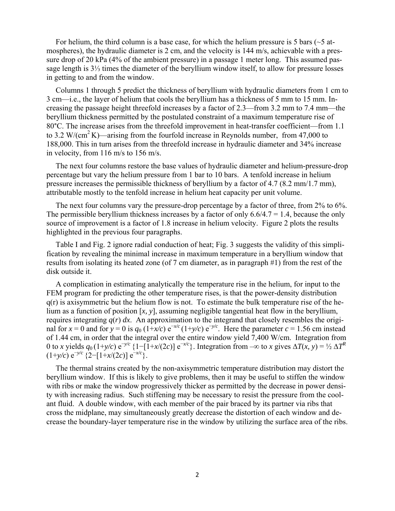For helium, the third column is a base case, for which the helium pressure is 5 bars ( $\sim$ 5 atmospheres), the hydraulic diameter is 2 cm, and the velocity is 144 m/s, achievable with a pressure drop of 20 kPa (4% of the ambient pressure) in a passage 1 meter long. This assumed passage length is 3⅓ times the diameter of the beryllium window itself, to allow for pressure losses in getting to and from the window.

Columns 1 through 5 predict the thickness of beryllium with hydraulic diameters from 1 cm to 3 cm—i.e., the layer of helium that cools the beryllium has a thickness of 5 mm to 15 mm. Increasing the passage height threefold increases by a factor of 2.3—from 3.2 mm to 7.4 mm—the beryllium thickness permitted by the postulated constraint of a maximum temperature rise of 80°C. The increase arises from the threefold improvement in heat-transfer coefficient—from 1.1 to 3.2 W/(cm<sup>2</sup> K)—arising from the fourfold increase in Reynolds number, from 47,000 to 188,000. This in turn arises from the threefold increase in hydraulic diameter and 34% increase in velocity, from 116 m/s to 156 m/s.

The next four columns restore the base values of hydraulic diameter and helium-pressure-drop percentage but vary the helium pressure from 1 bar to 10 bars. A tenfold increase in helium pressure increases the permissible thickness of beryllium by a factor of 4.7 (8.2 mm/1.7 mm), attributable mostly to the tenfold increase in helium heat capacity per unit volume.

The next four columns vary the pressure-drop percentage by a factor of three, from 2% to 6%. The permissible beryllium thickness increases by a factor of only  $6.6/4.7 = 1.4$ , because the only source of improvement is a factor of 1.8 increase in helium velocity. Figure 2 plots the results highlighted in the previous four paragraphs.

Table I and Fig. 2 ignore radial conduction of heat; Fig. 3 suggests the validity of this simplification by revealing the minimal increase in maximum temperature in a beryllium window that results from isolating its heated zone (of 7 cm diameter, as in paragraph #1) from the rest of the disk outside it.

A complication in estimating analytically the temperature rise in the helium, for input to the FEM program for predicting the other temperature rises, is that the power-density distribution  $q(r)$  is axisymmetric but the helium flow is not. To estimate the bulk temperature rise of the helium as a function of position [*x, y*], assuming negligible tangential heat flow in the beryllium, requires integrating  $q(r) dx$ . An approximation to the integrand that closely resembles the original for  $x = 0$  and for  $y = 0$  is  $q_0$  (1+*x/c*) e<sup> $-x/c$ </sup> (1+*y/c*) e<sup> $-y/c$ </sup>. Here the parameter  $c = 1.56$  cm instead of 1.44 cm, in order that the integral over the entire window yield 7,400 W/cm. Integration from 0 to *x* yields  $q_0(1+y/c) e^{-y/c} \{1-[1+x/(2c)] e^{-x/c}\}$ . Integration from  $-\infty$  to *x* gives  $\Delta T(x, y) = \frac{1}{2} \Delta T^R$  $(1+y/c) e^{-y/c}$  {2−[1+*x*/(2*c*)]  $e^{-x/c}$ .

The thermal strains created by the non-axisymmetric temperature distribution may distort the beryllium window. If this is likely to give problems, then it may be useful to stiffen the window with ribs or make the window progressively thicker as permitted by the decrease in power density with increasing radius. Such stiffening may be necessary to resist the pressure from the coolant fluid. A double window, with each member of the pair braced by its partner via ribs that cross the midplane, may simultaneously greatly decrease the distortion of each window and decrease the boundary-layer temperature rise in the window by utilizing the surface area of the ribs.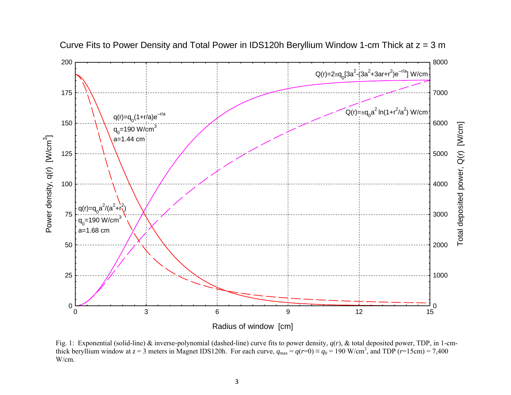

Curve Fits to Power Density and Total Power in IDS120h Beryllium Window 1-cm Thick at  $z = 3$  m

Fig. 1: Exponential (solid-line) & inverse-polynomial (dashed-line) curve fits to power density,  $q(r)$ , & total deposited power, TDP, in 1-cmthick beryllium window at  $z = 3$  meters in Magnet IDS120h. For each curve,  $q_{\text{max}} = q(r=0) = q_0 = 190 \text{ W/cm}^3$ , and TDP ( $r=15 \text{cm}$ ) = 7,400 W/cm.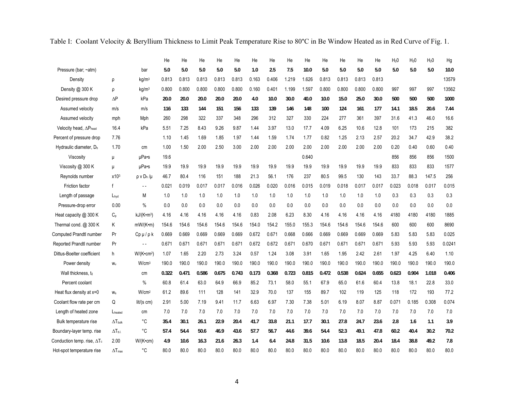|  |  |  |  |  | Table I: Coolant Velocity & Beryllium Thickness to Limit Peak Temperature Rise to 80°C in Be Window Heated as in Red Curve of Fig. 1. |
|--|--|--|--|--|---------------------------------------------------------------------------------------------------------------------------------------|
|  |  |  |  |  |                                                                                                                                       |

|                                     |                          |                        | He    | He    | He    | He    | He    | He    | He    | He    | He    | He    | He    | He    | He    | H <sub>2</sub> 0 | H <sub>2</sub> 0 | H <sub>2</sub> 0 | Hg     |
|-------------------------------------|--------------------------|------------------------|-------|-------|-------|-------|-------|-------|-------|-------|-------|-------|-------|-------|-------|------------------|------------------|------------------|--------|
| Pressure (bar; ~atm)                |                          | bar                    | 5.0   | 5.0   | 5.0   | 5.0   | 5.0   | 1.0   | 2.5   | 7.5   | 10.0  | 5.0   | 5.0   | 5.0   | 5.0   | 5.0              | 5.0              | 5.0              | 10.0   |
| Density                             | ρ                        | kg/m <sup>3</sup>      | 0.813 | 0.813 | 0.813 | 0.813 | 0.813 | 0.163 | 0.406 | 1.219 | 1.626 | 0.813 | 0.813 | 0.813 | 0.813 |                  |                  |                  | 13579  |
| Density @ 300 K                     | ρ                        | kg/m <sup>3</sup>      | 0.800 | 0.800 | 0.800 | 0.800 | 0.800 | 0.160 | 0.401 | 1.199 | 1.597 | 0.800 | 0.800 | 0.800 | 0.800 | 997              | 997              | 997              | 13562  |
| Desired pressure drop               | $\Delta P$               | kPa                    | 20.0  | 20.0  | 20.0  | 20.0  | 20.0  | 4.0   | 10.0  | 30.0  | 40.0  | 10.0  | 15.0  | 25.0  | 30.0  | 500              | 500              | 500              | 1000   |
| Assumed velocity                    | m/s                      | m/s                    | 116   | 133   | 144   | 151   | 156   | 133   | 139   | 146   | 148   | 100   | 124   | 161   | 177   | 14.1             | 18.5             | 20.6             | 7.44   |
| Assumed velocity                    | mph                      | Mph                    | 260   | 298   | 322   | 337   | 348   | 296   | 312   | 327   | 330   | 224   | 277   | 361   | 397   | 31.6             | 41.3             | 46.0             | 16.6   |
| Velocity head, $\Delta P_{head}$    | 16.4                     | kPa                    | 5.51  | 7.25  | 8.43  | 9.26  | 9.87  | 1.44  | 3.97  | 13.0  | 17.7  | 4.09  | 6.25  | 10.6  | 12.8  | 101              | 173              | 215              | 382    |
| Percent of pressure drop            | 7.76                     |                        | 1.10  | 1.45  | 1.69  | 1.85  | 1.97  | 1.44  | 1.59  | 1.74  | 1.77  | 0.82  | 1.25  | 2.13  | 2.57  | 20.2             | 34.7             | 42.9             | 38.2   |
| Hydraulic diameter, D <sub>h</sub>  | 1.70                     | cm                     | 1.00  | 1.50  | 2.00  | 2.50  | 3.00  | 2.00  | 2.00  | 2.00  | 2.00  | 2.00  | 2.00  | 2.00  | 2.00  | 0.20             | 0.40             | 0.60             | 0.40   |
| Viscosity                           | μ                        | µPa•s                  | 19.6  |       |       |       |       |       |       |       | 0.640 |       |       |       |       | 856              | 856              | 856              | 1500   |
| Viscosity @ 300 K                   | $\mathsf{u}$             | $\mu$ Pa•s             | 19.9  | 19.9  | 19.9  | 19.9  | 19.9  | 19.9  | 19.9  | 19.9  | 19.9  | 19.9  | 19.9  | 19.9  | 19.9  | 833              | 833              | 833              | 1577   |
| Reynolds number                     | x103                     | $\rho$ v $D_h / \mu$   | 46.7  | 80.4  | 116   | 151   | 188   | 21.3  | 56.1  | 176   | 237   | 80.5  | 99.5  | 130   | 143   | 33.7             | 88.3             | 147.5            | 256    |
| <b>Friction factor</b>              | $\mathbf{f}$             | $ -$                   | 0.021 | 0.019 | 0.017 | 0.017 | 0.016 | 0.026 | 0.020 | 0.016 | 0.015 | 0.019 | 0.018 | 0.017 | 0.017 | 0.023            | 0.018            | 0.017            | 0.015  |
| Length of passage                   | $L_{\text{hyd}}$         | M                      | 1.0   | 1.0   | 1.0   | 1.0   | 1.0   | 1.0   | 1.0   | 1.0   | 1.0   | 1.0   | 1.0   | 1.0   | 1.0   | 0.3              | 0.3              | 0.3              | 0.3    |
| Pressure-drop error                 | 0.00                     | $\%$                   | 0.0   | 0.0   | 0.0   | 0.0   | 0.0   | 0.0   | 0.0   | 0.0   | 0.0   | 0.0   | 0.0   | 0.0   | 0.0   | 0.0              | 0.0              | 0.0              | 0.0    |
| Heat capacity @ 300 K               | $C_{p}$                  | kJ/(K•m <sup>3</sup> ) | 4.16  | 4.16  | 4.16  | 4.16  | 4.16  | 0.83  | 2.08  | 6.23  | 8.30  | 4.16  | 4.16  | 4.16  | 4.16  | 4180             | 4180             | 4180             | 1885   |
| Thermal cond. @ 300 K               | Κ                        | mW/(K•m)               | 154.6 | 154.6 | 154.6 | 154.6 | 154.6 | 154.0 | 154.2 | 155.0 | 155.3 | 154.6 | 154.6 | 154.6 | 154.6 | 600              | 600              | 600              | 8690   |
| Computed Prandtl number             | Pr                       | Cpµ/pk                 | 0.669 | 0.669 | 0.669 | 0.669 | 0.669 | 0.672 | 0.671 | 0.668 | 0.666 | 0.669 | 0.669 | 0.669 | 0.669 | 5.83             | 5.83             | 5.83             | 0.025  |
| Reported Prandtl number             | Pr                       | $\overline{a}$         | 0.671 | 0.671 | 0.671 | 0.671 | 0.671 | 0.672 | 0.672 | 0.671 | 0.670 | 0.671 | 0.671 | 0.671 | 0.671 | 5.93             | 5.93             | 5.93             | 0.0241 |
| Dittus-Boelter coefficient          | h                        | W/(K•cm <sup>2</sup> ) | 1.07  | 1.65  | 2.20  | 2.73  | 3.24  | 0.57  | 1.24  | 3.08  | 3.91  | 1.65  | 1.95  | 2.42  | 2.61  | 1.97             | 4.25             | 6.40             | 1.10   |
| Power density                       | W <sub>v</sub>           | W/cm <sup>3</sup>      | 190.0 | 190.0 | 190.0 | 190.0 | 190.0 | 190.0 | 190.0 | 190.0 | 190.0 | 190.0 | 190.0 | 190.0 | 190.0 | 190.0            | 190.0            | 190.0            | 190.0  |
| Wall thickness, to                  |                          | cm                     | 0.322 | 0.471 | 0.586 | 0.675 | 0.743 | 0.173 | 0.368 | 0.723 | 0.815 | 0.472 | 0.538 | 0.624 | 0.655 | 0.623            | 0.904            | 1.018            | 0.406  |
| Percent coolant                     |                          | %                      | 60.8  | 61.4  | 63.0  | 64.9  | 66.9  | 85.2  | 73.1  | 58.0  | 55.1  | 67.9  | 65.0  | 61.6  | 60.4  | 13.8             | 18.1             | 22.8             | 33.0   |
| Heat flux density at x=0            | $W_{S}$                  | W/cm <sup>2</sup>      | 61.2  | 89.6  | 111   | 128   | 141   | 32.9  | 70.0  | 137   | 155   | 89.7  | 102   | 119   | 125   | 118              | 172              | 193              | 77.2   |
| Coolant flow rate per cm            | Q                        | lit/(s cm)             | 2.91  | 5.00  | 7.19  | 9.41  | 11.7  | 6.63  | 6.97  | 7.30  | 7.38  | 5.01  | 6.19  | 8.07  | 8.87  | 0.071            | 0.185            | 0.308            | 0.074  |
| Length of heated zone               | Lheated                  | cm                     | 7.0   | 7.0   | 7.0   | 7.0   | 7.0   | 7.0   | 7.0   | 7.0   | 7.0   | 7.0   | 7.0   | 7.0   | 7.0   | 7.0              | 7.0              | 7.0              | 7.0    |
| Bulk temperature rise               | $\Delta T_{\text{bulk}}$ | °C                     | 35.4  | 30.1  | 26.1  | 22.9  | 20.4  | 41.7  | 33.8  | 21.1  | 17.7  | 30.1  | 27.8  | 24.7  | 23.6  | 2.8              | 1.6              | 1.1              | 3.9    |
| Boundary-layer temp. rise           | $\Delta T_{\rm b.l.}$    | °C                     | 57.4  | 54.4  | 50.6  | 46.9  | 43.6  | 57.7  | 56.7  | 44.6  | 39.6  | 54.4  | 52.3  | 49.1  | 47.8  | 60.2             | 40.4             | 30.2             | 70.2   |
| Conduction temp. rise, $\Delta T_c$ | 2.00                     | $W/(K$ •cm $)$         | 4.9   | 10.6  | 16.3  | 21.6  | 26.3  | 1.4   | 6.4   | 24.8  | 31.5  | 10.6  | 13.8  | 18.5  | 20.4  | 18.4             | 38.8             | 49.2             | 7.8    |
| Hot-spot temperature rise           | $\Delta T_{max}$         | °C                     | 80.0  | 80.0  | 80.0  | 80.0  | 80.0  | 80.0  | 80.0  | 80.0  | 80.0  | 80.0  | 80.0  | 80.0  | 80.0  | 80.0             | 80.0             | 80.0             | 80.0   |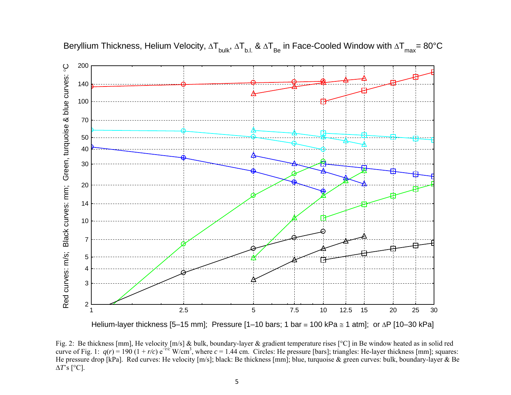

Beryllium Thickness, Helium Velocity,  $\Delta T_{_{\sf{bulk}}}$ ,  $\Delta T_{_{\sf{BL}}}$  &  $\Delta T_{_{\sf{Be}}}$  in Face-Cooled Window with  $\Delta T_{_{\sf{max}}}$ = 80°C

Helium-layer thickness [5–15 mm]; Pressure [1–10 bars; 1 bar ≡ 100 kPa ≅ 1 atm]; or ∆P [10–30 kPa]

Fig. 2: Be thickness [mm], He velocity [m/s] & bulk, boundary-layer & gradient temperature rises [°C] in Be window heated as in solid red curve of Fig. 1:  $q(r) = 190 (1 + r/c) e^{-r/c} W/cm^3$ , where  $c = 1.44$  cm. Circles: He pressure [bars]; triangles: He-layer thickness [mm]; squares: He pressure drop [kPa]. Red curves: He velocity [m/s]; black: Be thickness [mm]; blue, turquoise & green curves: bulk, boundary-layer & Be ∆ *T*'s [°C].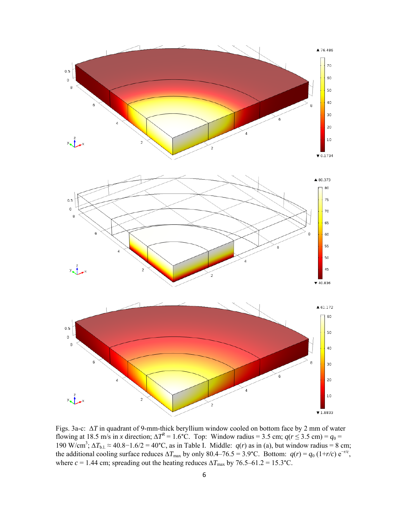

Figs. 3a-c: ∆*T* in quadrant of 9-mm-thick beryllium window cooled on bottom face by 2 mm of water flowing at 18.5 m/s in *x* direction;  $\Delta T^R = 1.6$ °C. Top: Window radius = 3.5 cm;  $q(r \le 3.5 \text{ cm}) = q_0 =$ 190 W/cm<sup>3</sup>;  $\Delta T_{b.l.}$  ≈ 40.8−1.6/2 = 40°C, as in Table I. Middle:  $q(r)$  as in (a), but window radius = 8 cm; the additional cooling surface reduces  $\Delta T_{\text{max}}$  by only 80.4–76.5 = 3.9°C. Bottom:  $q(r) = q_0 (1+r/c) e^{-r/c}$ , where  $c = 1.44$  cm; spreading out the heating reduces  $\Delta T_{\text{max}}$  by 76.5–61.2 = 15.3°C.